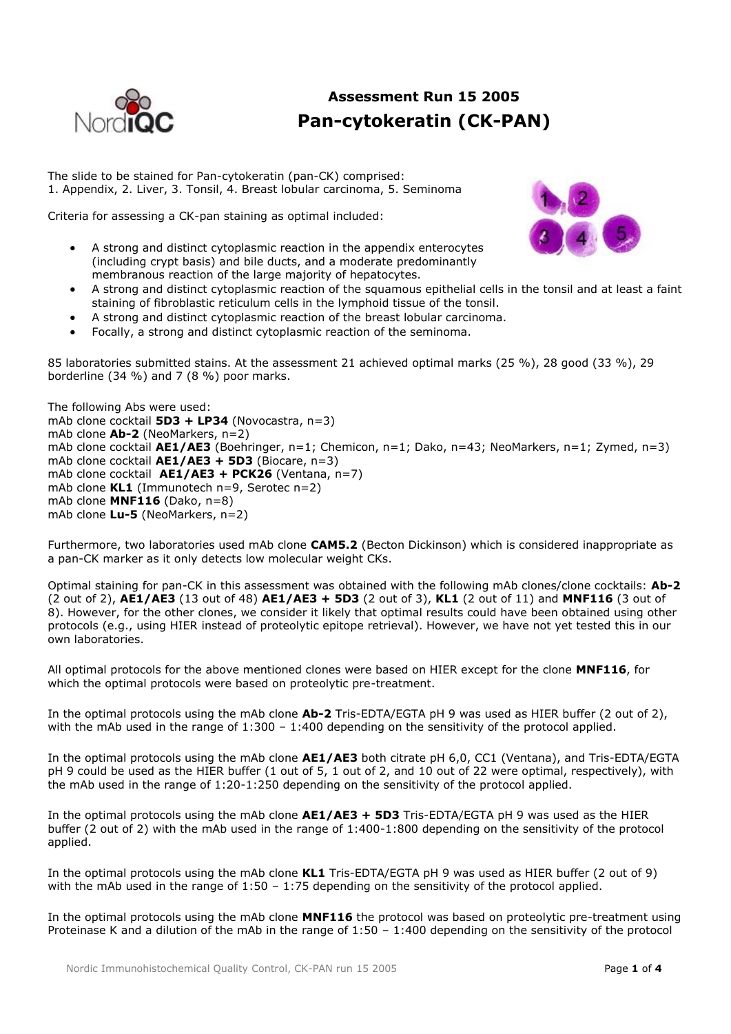

## **Assessment Run 15 2005 Pan-cytokeratin (CK-PAN)**

The slide to be stained for Pan-cytokeratin (pan-CK) comprised: 1. Appendix, 2. Liver, 3. Tonsil, 4. Breast lobular carcinoma, 5. Seminoma

Criteria for assessing a CK-pan staining as optimal included:



- A strong and distinct cytoplasmic reaction in the appendix enterocytes (including crypt basis) and bile ducts, and a moderate predominantly membranous reaction of the large majority of hepatocytes.
- A strong and distinct cytoplasmic reaction of the squamous epithelial cells in the tonsil and at least a faint staining of fibroblastic reticulum cells in the lymphoid tissue of the tonsil.
- A strong and distinct cytoplasmic reaction of the breast lobular carcinoma.
- Focally, a strong and distinct cytoplasmic reaction of the seminoma.

85 laboratories submitted stains. At the assessment 21 achieved optimal marks (25 %), 28 good (33 %), 29 borderline (34 %) and 7 (8 %) poor marks.

The following Abs were used: mAb clone cocktail **5D3 + LP34** (Novocastra, n=3) mAb clone **Ab-2** (NeoMarkers, n=2) mAb clone cocktail **AE1/AE3** (Boehringer, n=1; Chemicon, n=1; Dako, n=43; NeoMarkers, n=1; Zymed, n=3) mAb clone cocktail **AE1/AE3 + 5D3** (Biocare, n=3) mAb clone cocktail **AE1/AE3 + PCK26** (Ventana, n=7) mAb clone **KL1** (Immunotech n=9, Serotec n=2) mAb clone **MNF116** (Dako, n=8) mAb clone **Lu-5** (NeoMarkers, n=2)

Furthermore, two laboratories used mAb clone **CAM5.2** (Becton Dickinson) which is considered inappropriate as a pan-CK marker as it only detects low molecular weight CKs.

Optimal staining for pan-CK in this assessment was obtained with the following mAb clones/clone cocktails: **Ab-2** (2 out of 2), **AE1/AE3** (13 out of 48) **AE1/AE3 + 5D3** (2 out of 3), **KL1** (2 out of 11) and **MNF116** (3 out of 8). However, for the other clones, we consider it likely that optimal results could have been obtained using other protocols (e.g., using HIER instead of proteolytic epitope retrieval). However, we have not yet tested this in our own laboratories.

All optimal protocols for the above mentioned clones were based on HIER except for the clone **MNF116**, for which the optimal protocols were based on proteolytic pre-treatment.

In the optimal protocols using the mAb clone **Ab-2** Tris-EDTA/EGTA pH 9 was used as HIER buffer (2 out of 2), with the mAb used in the range of 1:300 – 1:400 depending on the sensitivity of the protocol applied.

In the optimal protocols using the mAb clone **AE1/AE3** both citrate pH 6,0, CC1 (Ventana), and Tris-EDTA/EGTA pH 9 could be used as the HIER buffer (1 out of 5, 1 out of 2, and 10 out of 22 were optimal, respectively), with the mAb used in the range of 1:20-1:250 depending on the sensitivity of the protocol applied.

In the optimal protocols using the mAb clone **AE1/AE3 + 5D3** Tris-EDTA/EGTA pH 9 was used as the HIER buffer (2 out of 2) with the mAb used in the range of 1:400-1:800 depending on the sensitivity of the protocol applied.

In the optimal protocols using the mAb clone **KL1** Tris-EDTA/EGTA pH 9 was used as HIER buffer (2 out of 9) with the mAb used in the range of  $1:50 - 1:75$  depending on the sensitivity of the protocol applied.

In the optimal protocols using the mAb clone **MNF116** the protocol was based on proteolytic pre-treatment using Proteinase K and a dilution of the mAb in the range of 1:50 – 1:400 depending on the sensitivity of the protocol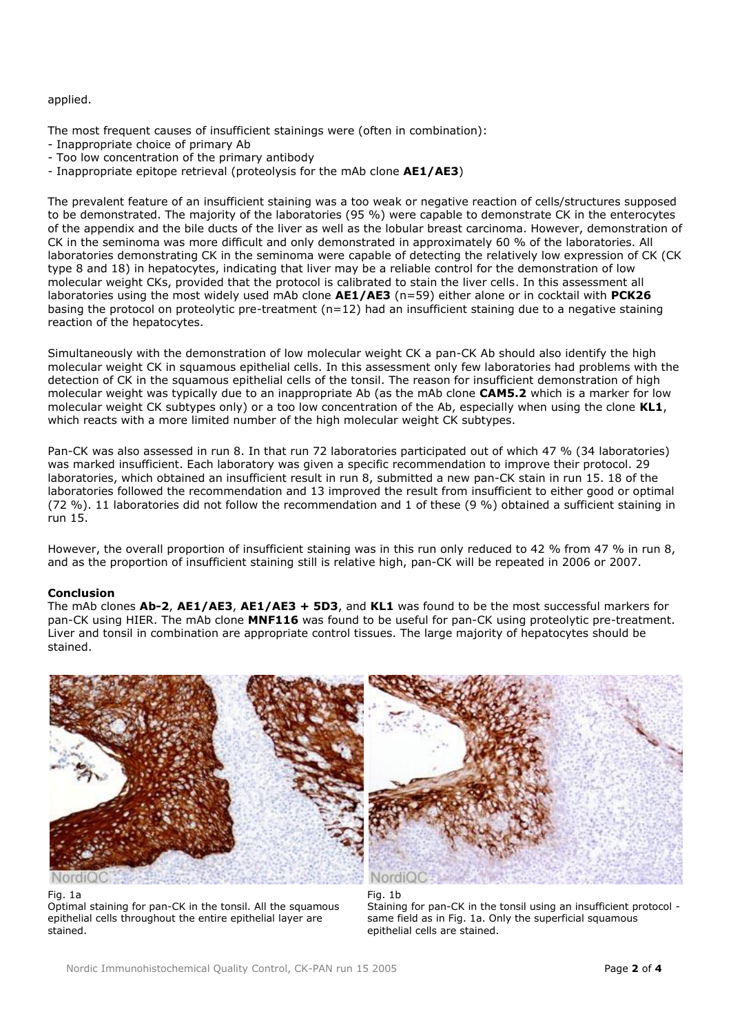applied.

The most frequent causes of insufficient stainings were (often in combination):

- Inappropriate choice of primary Ab
- Too low concentration of the primary antibody
- Inappropriate epitope retrieval (proteolysis for the mAb clone **AE1/AE3**)

The prevalent feature of an insufficient staining was a too weak or negative reaction of cells/structures supposed to be demonstrated. The majority of the laboratories (95 %) were capable to demonstrate CK in the enterocytes of the appendix and the bile ducts of the liver as well as the lobular breast carcinoma. However, demonstration of CK in the seminoma was more difficult and only demonstrated in approximately 60 % of the laboratories. All laboratories demonstrating CK in the seminoma were capable of detecting the relatively low expression of CK (CK type 8 and 18) in hepatocytes, indicating that liver may be a reliable control for the demonstration of low molecular weight CKs, provided that the protocol is calibrated to stain the liver cells. In this assessment all laboratories using the most widely used mAb clone **AE1/AE3** (n=59) either alone or in cocktail with **PCK26** basing the protocol on proteolytic pre-treatment ( $n=12$ ) had an insufficient staining due to a negative staining reaction of the hepatocytes.

Simultaneously with the demonstration of low molecular weight CK a pan-CK Ab should also identify the high molecular weight CK in squamous epithelial cells. In this assessment only few laboratories had problems with the detection of CK in the squamous epithelial cells of the tonsil. The reason for insufficient demonstration of high molecular weight was typically due to an inappropriate Ab (as the mAb clone **CAM5.2** which is a marker for low molecular weight CK subtypes only) or a too low concentration of the Ab, especially when using the clone **KL1**, which reacts with a more limited number of the high molecular weight CK subtypes.

Pan-CK was also assessed in run 8. In that run 72 laboratories participated out of which 47 % (34 laboratories) was marked insufficient. Each laboratory was given a specific recommendation to improve their protocol. 29 laboratories, which obtained an insufficient result in run 8, submitted a new pan-CK stain in run 15. 18 of the laboratories followed the recommendation and 13 improved the result from insufficient to either good or optimal (72 %). 11 laboratories did not follow the recommendation and 1 of these (9 %) obtained a sufficient staining in run 15.

However, the overall proportion of insufficient staining was in this run only reduced to 42 % from 47 % in run 8, and as the proportion of insufficient staining still is relative high, pan-CK will be repeated in 2006 or 2007.

## **Conclusion**

The mAb clones **Ab-2**, **AE1/AE3**, **AE1/AE3 + 5D3**, and **KL1** was found to be the most successful markers for pan-CK using HIER. The mAb clone **MNF116** was found to be useful for pan-CK using proteolytic pre-treatment. Liver and tonsil in combination are appropriate control tissues. The large majority of hepatocytes should be stained.



NordiQ0

Fig. 1a

Optimal staining for pan-CK in the tonsil. All the squamous epithelial cells throughout the entire epithelial layer are stained.

Fig. 1b Staining for pan-CK in the tonsil using an insufficient protocol same field as in Fig. 1a. Only the superficial squamous epithelial cells are stained.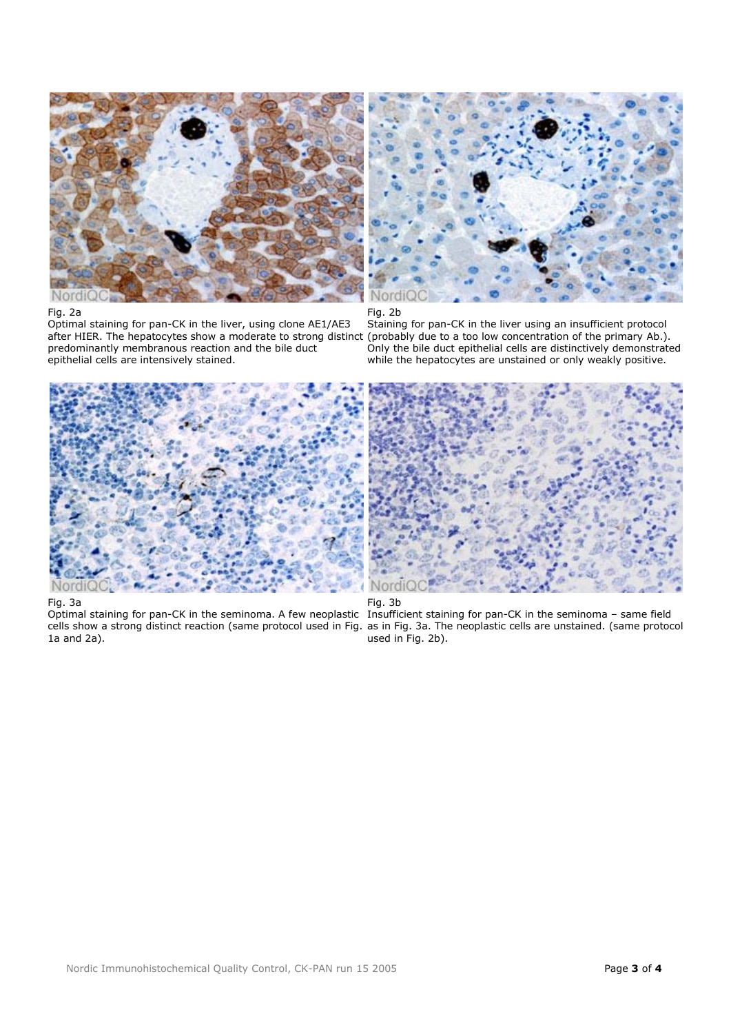

## Fig. 2a

Optimal staining for pan-CK in the liver, using clone AE1/AE3 after HIER. The hepatocytes show a moderate to strong distinct (probably due to a too low concentration of the primary Ab.). predominantly membranous reaction and the bile duct epithelial cells are intensively stained.



Fig. 2b

Staining for pan-CK in the liver using an insufficient protocol Only the bile duct epithelial cells are distinctively demonstrated while the hepatocytes are unstained or only weakly positive.



Fig. 3a

Optimal staining for pan-CK in the seminoma. A few neoplastic 1a and 2a).





cells show a strong distinct reaction (same protocol used in Fig. as in Fig. 3a. The neoplastic cells are unstained. (same protocol Insufficient staining for pan-CK in the seminoma – same field used in Fig. 2b).